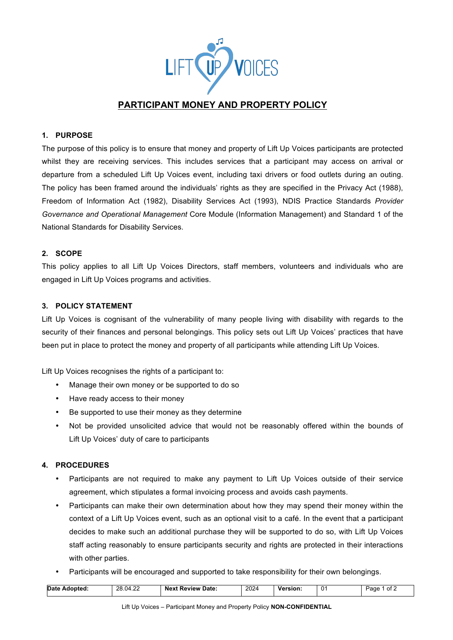

# **PARTICIPANT MONEY AND PROPERTY POLICY**

# **1. PURPOSE**

The purpose of this policy is to ensure that money and property of Lift Up Voices participants are protected whilst they are receiving services. This includes services that a participant may access on arrival or departure from a scheduled Lift Up Voices event, including taxi drivers or food outlets during an outing. The policy has been framed around the individuals' rights as they are specified in the Privacy Act (1988), Freedom of Information Act (1982), Disability Services Act (1993), NDIS Practice Standards *Provider Governance and Operational Management* Core Module (Information Management) and Standard 1 of the National Standards for Disability Services.

### **2. SCOPE**

This policy applies to all Lift Up Voices Directors, staff members, volunteers and individuals who are engaged in Lift Up Voices programs and activities.

### **3. POLICY STATEMENT**

Lift Up Voices is cognisant of the vulnerability of many people living with disability with regards to the security of their finances and personal belongings. This policy sets out Lift Up Voices' practices that have been put in place to protect the money and property of all participants while attending Lift Up Voices.

Lift Up Voices recognises the rights of a participant to:

- Manage their own money or be supported to do so
- Have ready access to their money
- Be supported to use their money as they determine
- Not be provided unsolicited advice that would not be reasonably offered within the bounds of Lift Up Voices' duty of care to participants

### **4. PROCEDURES**

- Participants are not required to make any payment to Lift Up Voices outside of their service agreement, which stipulates a formal invoicing process and avoids cash payments.
- Participants can make their own determination about how they may spend their money within the context of a Lift Up Voices event, such as an optional visit to a café. In the event that a participant decides to make such an additional purchase they will be supported to do so, with Lift Up Voices staff acting reasonably to ensure participants security and rights are protected in their interactions with other parties.
- Participants will be encouraged and supported to take responsibility for their own belongings.

| 2024<br>28.04.22<br>Date Adopted:<br><b>Next Review</b><br>0.<br>of '∠<br>Date:<br>Page<br><b>Version:</b> |
|------------------------------------------------------------------------------------------------------------|
|------------------------------------------------------------------------------------------------------------|